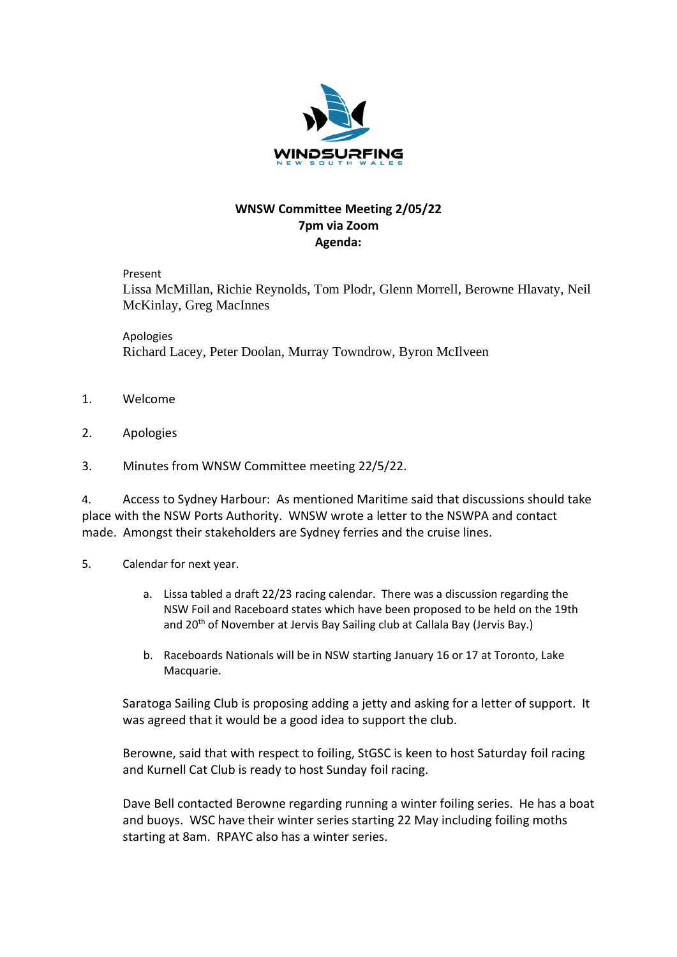

## **WNSW Committee Meeting 2/05/22 7pm via Zoom Agenda:**

Present

Lissa McMillan, Richie Reynolds, Tom Plodr, Glenn Morrell, Berowne Hlavaty, Neil McKinlay, Greg MacInnes

Apologies Richard Lacey, Peter Doolan, Murray Towndrow, Byron McIlveen

- 1. Welcome
- 2. Apologies
- 3. Minutes from WNSW Committee meeting 22/5/22.

4. Access to Sydney Harbour: As mentioned Maritime said that discussions should take place with the NSW Ports Authority. WNSW wrote a letter to the NSWPA and contact made. Amongst their stakeholders are Sydney ferries and the cruise lines.

- 5. Calendar for next year.
	- a. Lissa tabled a draft 22/23 racing calendar. There was a discussion regarding the NSW Foil and Raceboard states which have been proposed to be held on the 19th and 20<sup>th</sup> of November at Jervis Bay Sailing club at Callala Bay (Jervis Bay.)
	- b. Raceboards Nationals will be in NSW starting January 16 or 17 at Toronto, Lake Macquarie.

Saratoga Sailing Club is proposing adding a jetty and asking for a letter of support. It was agreed that it would be a good idea to support the club.

Berowne, said that with respect to foiling, StGSC is keen to host Saturday foil racing and Kurnell Cat Club is ready to host Sunday foil racing.

Dave Bell contacted Berowne regarding running a winter foiling series. He has a boat and buoys. WSC have their winter series starting 22 May including foiling moths starting at 8am. RPAYC also has a winter series.